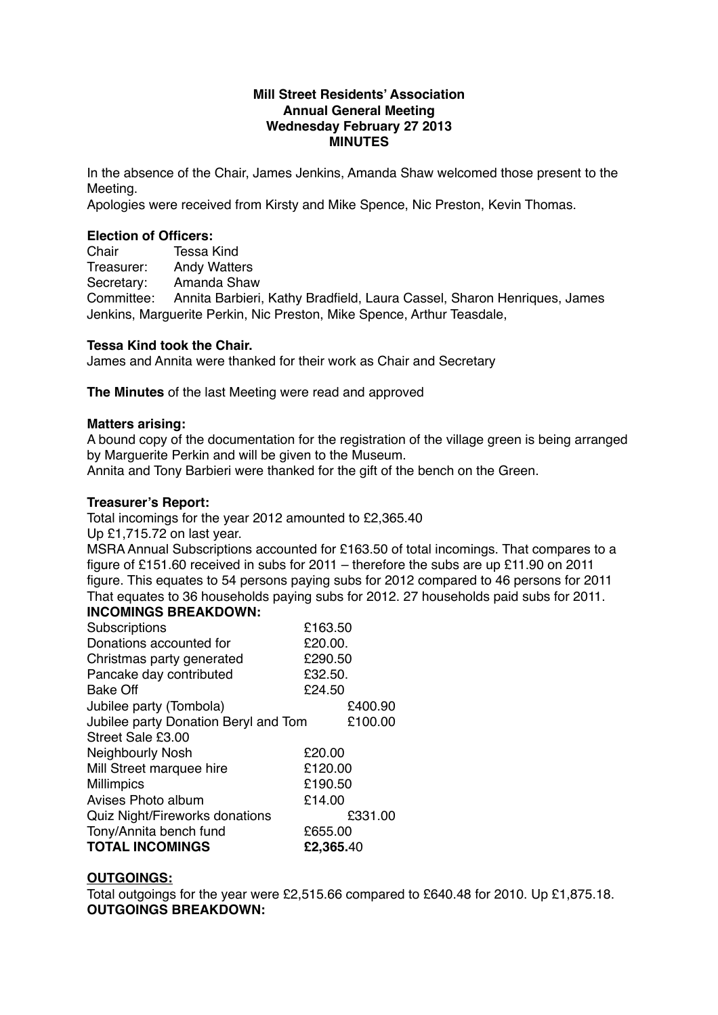#### **Mill Street Residents' Association Annual General Meeting Wednesday February 27 2013 MINUTES**

In the absence of the Chair, James Jenkins, Amanda Shaw welcomed those present to the Meeting.

Apologies were received from Kirsty and Mike Spence, Nic Preston, Kevin Thomas.

#### **Election of Officers:**

Chair Tessa Kind Treasurer: Andy Watters Secretary: Amanda Shaw Committee: Annita Barbieri, Kathy Bradfield, Laura Cassel, Sharon Henriques, James Jenkins, Marguerite Perkin, Nic Preston, Mike Spence, Arthur Teasdale,

## **Tessa Kind took the Chair.**

James and Annita were thanked for their work as Chair and Secretary

**The Minutes** of the last Meeting were read and approved

#### **Matters arising:**

A bound copy of the documentation for the registration of the village green is being arranged by Marguerite Perkin and will be given to the Museum.

Annita and Tony Barbieri were thanked for the gift of the bench on the Green.

#### **Treasurer's Report:**

Total incomings for the year 2012 amounted to £2,365.40

Up £1,715.72 on last year.

MSRA Annual Subscriptions accounted for £163.50 of total incomings. That compares to a figure of £151.60 received in subs for 2011 – therefore the subs are up £11.90 on 2011 figure. This equates to 54 persons paying subs for 2012 compared to 46 persons for 2011 That equates to 36 households paying subs for 2012. 27 households paid subs for 2011.

# **INCOMINGS BREAKDOWN:**

| Subscriptions                        | £163.50   |         |
|--------------------------------------|-----------|---------|
| Donations accounted for              | £20.00.   |         |
| Christmas party generated            | £290.50   |         |
| Pancake day contributed              | £32.50.   |         |
| <b>Bake Off</b>                      | £24.50    |         |
| Jubilee party (Tombola)              |           | £400.90 |
| Jubilee party Donation Beryl and Tom |           | £100.00 |
| Street Sale £3,00                    |           |         |
| <b>Neighbourly Nosh</b>              | £20.00    |         |
| Mill Street marquee hire             | £120.00   |         |
| <b>Millimpics</b>                    | £190.50   |         |
| Avises Photo album                   | £14.00    |         |
| Quiz Night/Fireworks donations       |           | £331.00 |
| Tony/Annita bench fund               | £655.00   |         |
| <b>TOTAL INCOMINGS</b>               | £2,365.40 |         |

## **OUTGOINGS:**

Total outgoings for the year were £2,515.66 compared to £640.48 for 2010. Up £1,875.18. **OUTGOINGS BREAKDOWN:**